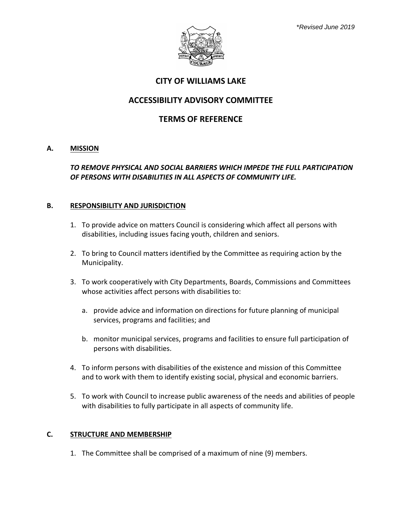

### **CITY OF WILLIAMS LAKE**

# **ACCESSIBILITY ADVISORY COMMITTEE**

# **TERMS OF REFERENCE**

#### **A. MISSION**

### *TO REMOVE PHYSICAL AND SOCIAL BARRIERS WHICH IMPEDE THE FULL PARTICIPATION OF PERSONS WITH DISABILITIES IN ALL ASPECTS OF COMMUNITY LIFE.*

#### **B. RESPONSIBILITY AND JURISDICTION**

- 1. To provide advice on matters Council is considering which affect all persons with disabilities, including issues facing youth, children and seniors.
- 2. To bring to Council matters identified by the Committee as requiring action by the Municipality.
- 3. To work cooperatively with City Departments, Boards, Commissions and Committees whose activities affect persons with disabilities to:
	- a. provide advice and information on directions for future planning of municipal services, programs and facilities; and
	- b. monitor municipal services, programs and facilities to ensure full participation of persons with disabilities.
- 4. To inform persons with disabilities of the existence and mission of this Committee and to work with them to identify existing social, physical and economic barriers.
- 5. To work with Council to increase public awareness of the needs and abilities of people with disabilities to fully participate in all aspects of community life.

#### **C. STRUCTURE AND MEMBERSHIP**

1. The Committee shall be comprised of a maximum of nine (9) members.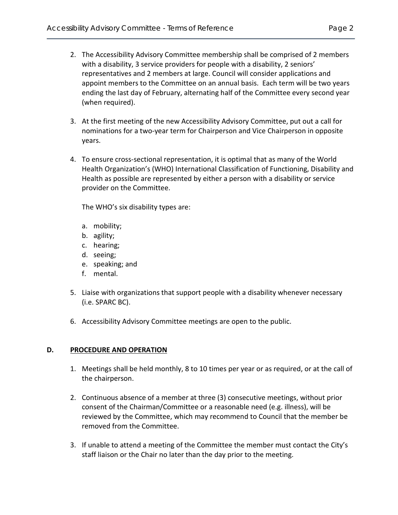- 2. The Accessibility Advisory Committee membership shall be comprised of 2 members with a disability, 3 service providers for people with a disability, 2 seniors' representatives and 2 members at large. Council will consider applications and appoint members to the Committee on an annual basis. Each term will be two years ending the last day of February, alternating half of the Committee every second year (when required).
- 3. At the first meeting of the new Accessibility Advisory Committee, put out a call for nominations for a two-year term for Chairperson and Vice Chairperson in opposite years.
- 4. To ensure cross-sectional representation, it is optimal that as many of the World Health Organization's (WHO) International Classification of Functioning, Disability and Health as possible are represented by either a person with a disability or service provider on the Committee.

The WHO's six disability types are:

- a. mobility;
- b. agility;
- c. hearing;
- d. seeing;
- e. speaking; and
- f. mental.
- 5. Liaise with organizations that support people with a disability whenever necessary (i.e. SPARC BC).
- 6. Accessibility Advisory Committee meetings are open to the public.

# **D. PROCEDURE AND OPERATION**

- 1. Meetings shall be held monthly, 8 to 10 times per year or as required, or at the call of the chairperson.
- 2. Continuous absence of a member at three (3) consecutive meetings, without prior consent of the Chairman/Committee or a reasonable need (e.g. illness), will be reviewed by the Committee, which may recommend to Council that the member be removed from the Committee.
- 3. If unable to attend a meeting of the Committee the member must contact the City's staff liaison or the Chair no later than the day prior to the meeting.